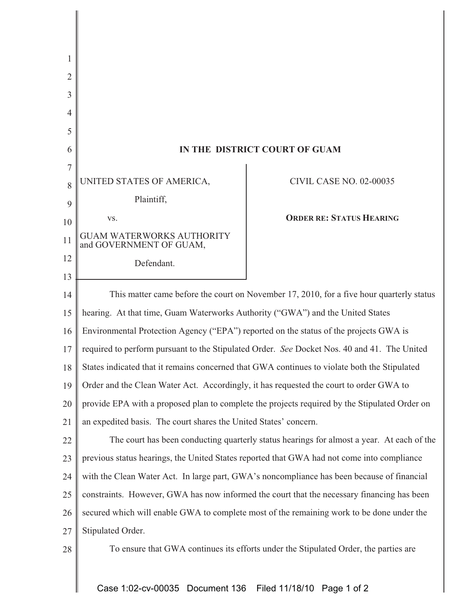| 2  |                                                                                               |                                 |
|----|-----------------------------------------------------------------------------------------------|---------------------------------|
| 3  |                                                                                               |                                 |
| 4  |                                                                                               |                                 |
| 5  |                                                                                               |                                 |
| 6  | IN THE DISTRICT COURT OF GUAM                                                                 |                                 |
| 7  |                                                                                               |                                 |
| 8  | UNITED STATES OF AMERICA,                                                                     | <b>CIVIL CASE NO. 02-00035</b>  |
| 9  | Plaintiff,                                                                                    |                                 |
| 10 | VS.                                                                                           | <b>ORDER RE: STATUS HEARING</b> |
| 11 | GUAM WATERWORKS AUTHORITY<br>and GOVERNMENT OF GUAM,                                          |                                 |
| 12 | Defendant.                                                                                    |                                 |
| 13 |                                                                                               |                                 |
| 14 | This matter came before the court on November 17, 2010, for a five hour quarterly status      |                                 |
| 15 | hearing. At that time, Guam Waterworks Authority ("GWA") and the United States                |                                 |
| 16 | Environmental Protection Agency ("EPA") reported on the status of the projects GWA is         |                                 |
| 17 | required to perform pursuant to the Stipulated Order. See Docket Nos. 40 and 41. The United   |                                 |
| 18 | States indicated that it remains concerned that GWA continues to violate both the Stipulated  |                                 |
| 19 | Order and the Clean Water Act. Accordingly, it has requested the court to order GWA to        |                                 |
| 20 | provide EPA with a proposed plan to complete the projects required by the Stipulated Order on |                                 |
| 21 | an expedited basis. The court shares the United States' concern.                              |                                 |
| 22 | The court has been conducting quarterly status hearings for almost a year. At each of the     |                                 |
| 23 | previous status hearings, the United States reported that GWA had not come into compliance    |                                 |
| 24 | with the Clean Water Act. In large part, GWA's noncompliance has been because of financial    |                                 |
| 25 | constraints. However, GWA has now informed the court that the necessary financing has been    |                                 |
| 26 | secured which will enable GWA to complete most of the remaining work to be done under the     |                                 |
| 27 | Stipulated Order.                                                                             |                                 |
| 28 | To ensure that GWA continues its efforts under the Stipulated Order, the parties are          |                                 |
|    |                                                                                               |                                 |

Case 1:02-cv-00035 Document 136 Filed 11/18/10 Page 1 of 2

Ш